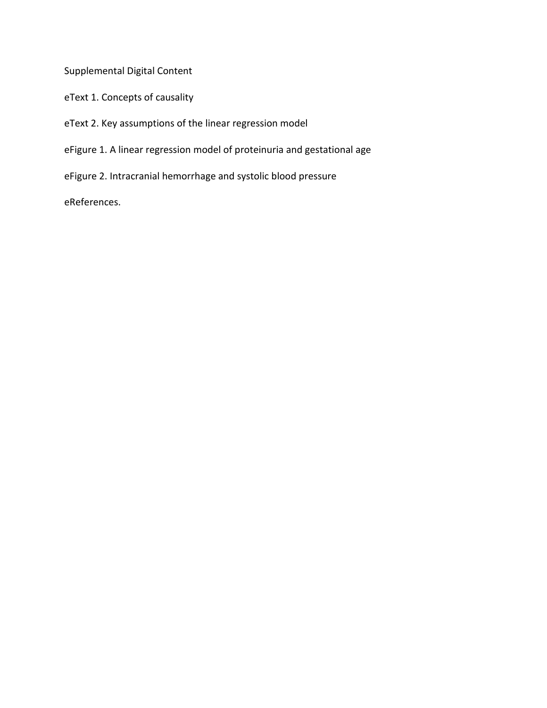Supplemental Digital Content

eText 1. Concepts of causality

eText 2. Key assumptions of the linear regression model

eFigure 1. A linear regression model of proteinuria and gestational age

eFigure 2. Intracranial hemorrhage and systolic blood pressure

eReferences.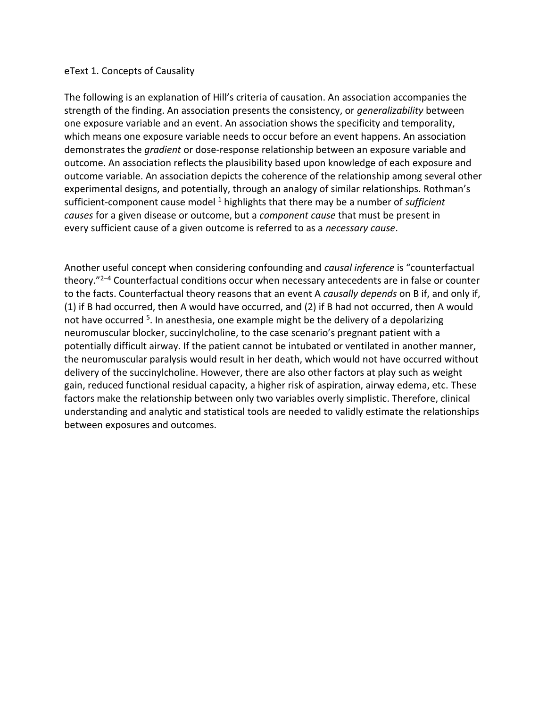## eText 1. Concepts of Causality

The following is an explanation of Hill's criteria of causation. An association accompanies the strength of the finding. An association presents the consistency, or *generalizability* between one exposure variable and an event. An association shows the specificity and temporality, which means one exposure variable needs to occur before an event happens. An association demonstrates the *gradient* or dose-response relationship between an exposure variable and outcome. An association reflects the plausibility based upon knowledge of each exposure and outcome variable. An association depicts the coherence of the relationship among several other experimental designs, and potentially, through an analogy of similar relationships. Rothman's sufficient-component cause model<sup>1</sup> highlights that there may be a number of *sufficient causes* for a given disease or outcome, but a *component cause* that must be present in every sufficient cause of a given outcome is referred to as a *necessary cause*.

Another useful concept when considering confounding and *causal inference* is "counterfactual theory."<sup>2-4</sup> Counterfactual conditions occur when necessary antecedents are in false or counter to the facts. Counterfactual theory reasons that an event A *causally depends* on B if, and only if, (1) if B had occurred, then A would have occurred, and (2) if B had not occurred, then A would not have occurred <sup>5</sup>. In anesthesia, one example might be the delivery of a depolarizing neuromuscular blocker, succinylcholine, to the case scenario's pregnant patient with a potentially difficult airway. If the patient cannot be intubated or ventilated in another manner, the neuromuscular paralysis would result in her death, which would not have occurred without delivery of the succinylcholine. However, there are also other factors at play such as weight gain, reduced functional residual capacity, a higher risk of aspiration, airway edema, etc. These factors make the relationship between only two variables overly simplistic. Therefore, clinical understanding and analytic and statistical tools are needed to validly estimate the relationships between exposures and outcomes.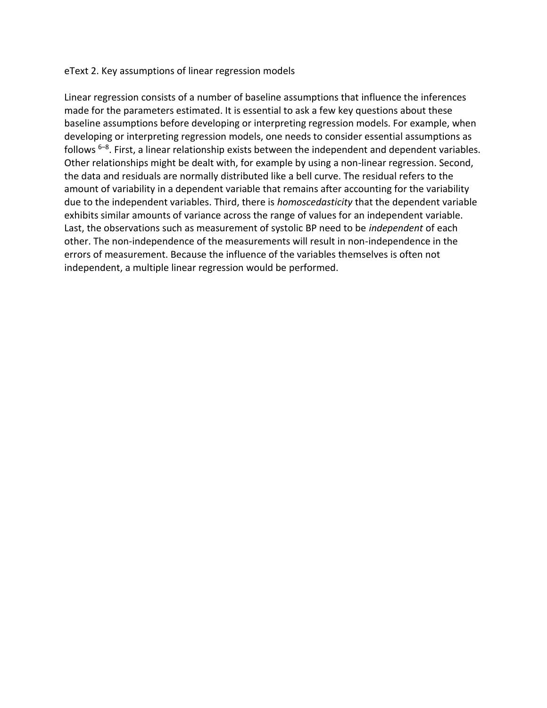## eText 2. Key assumptions of linear regression models

Linear regression consists of a number of baseline assumptions that influence the inferences made for the parameters estimated. It is essential to ask a few key questions about these baseline assumptions before developing or interpreting regression models. For example, when developing or interpreting regression models, one needs to consider essential assumptions as follows  $6-8$ . First, a linear relationship exists between the independent and dependent variables. Other relationships might be dealt with, for example by using a non-linear regression. Second, the data and residuals are normally distributed like a bell curve. The residual refers to the amount of variability in a dependent variable that remains after accounting for the variability due to the independent variables. Third, there is *homoscedasticity* that the dependent variable exhibits similar amounts of variance across the range of values for an independent variable. Last, the observations such as measurement of systolic BP need to be *independent* of each other. The non-independence of the measurements will result in non-independence in the errors of measurement. Because the influence of the variables themselves is often not independent, a multiple linear regression would be performed.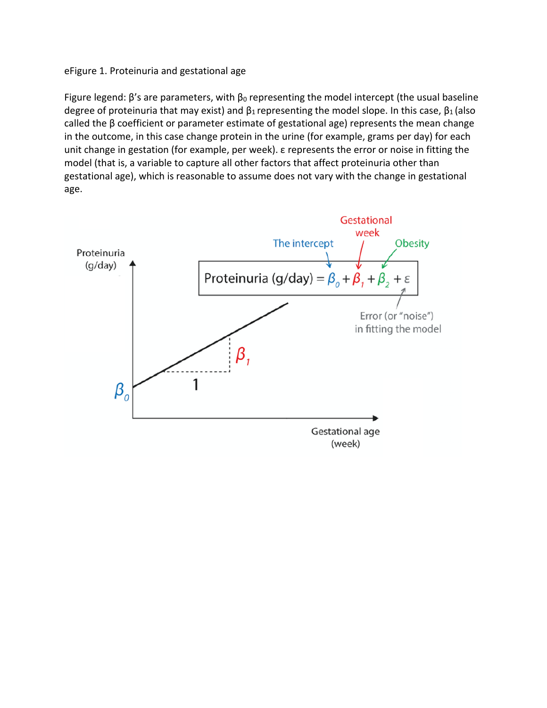## eFigure 1. Proteinuria and gestational age

Figure legend:  $\beta$ 's are parameters, with  $\beta_0$  representing the model intercept (the usual baseline degree of proteinuria that may exist) and  $\beta_1$  representing the model slope. In this case,  $\beta_1$  (also called the β coefficient or parameter estimate of gestational age) represents the mean change in the outcome, in this case change protein in the urine (for example, grams per day) for each unit change in gestation (for example, per week). ε represents the error or noise in fitting the model (that is, a variable to capture all other factors that affect proteinuria other than gestational age), which is reasonable to assume does not vary with the change in gestational age.

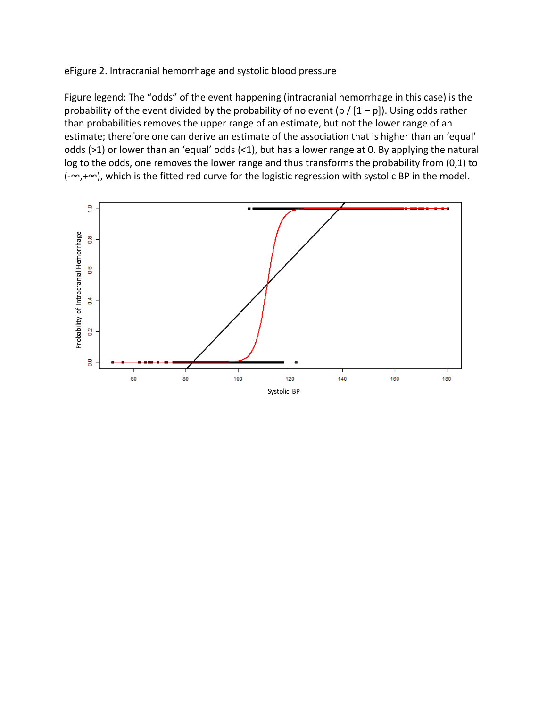eFigure 2. Intracranial hemorrhage and systolic blood pressure

Figure legend: The "odds" of the event happening (intracranial hemorrhage in this case) is the probability of the event divided by the probability of no event (p /  $[1-p]$ ). Using odds rather than probabilities removes the upper range of an estimate, but not the lower range of an estimate; therefore one can derive an estimate of the association that is higher than an 'equal' odds (>1) or lower than an 'equal' odds (<1), but has a lower range at 0. By applying the natural log to the odds, one removes the lower range and thus transforms the probability from (0,1) to (-∞,+∞), which is the fitted red curve for the logistic regression with systolic BP in the model.